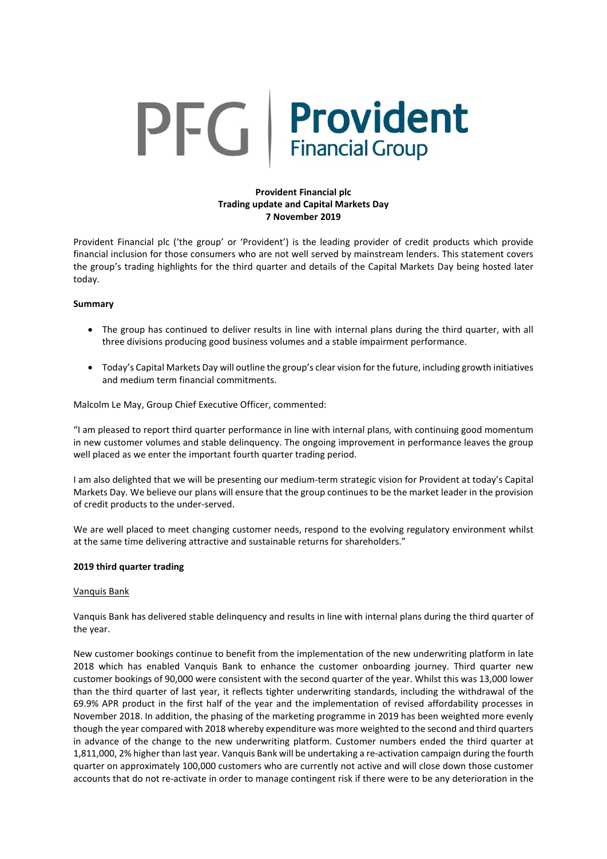# PFG Provident

## **Provident Financial plc Trading update and Capital Markets Day 7 November 2019**

Provident Financial plc ('the group' or 'Provident') is the leading provider of credit products which provide financial inclusion for those consumers who are not well served by mainstream lenders. This statement covers the group's trading highlights for the third quarter and details of the Capital Markets Day being hosted later today.

## **Summary**

- The group has continued to deliver results in line with internal plans during the third quarter, with all three divisions producing good business volumes and a stable impairment performance.
- Today's Capital Markets Day will outline the group's clear vision for the future, including growth initiatives and medium term financial commitments.

#### Malcolm Le May, Group Chief Executive Officer, commented:

"I am pleased to report third quarter performance in line with internal plans, with continuing good momentum in new customer volumes and stable delinquency. The ongoing improvement in performance leaves the group well placed as we enter the important fourth quarter trading period.

I am also delighted that we will be presenting our medium-term strategic vision for Provident at today's Capital Markets Day. We believe our plans will ensure that the group continues to be the market leader in the provision of credit products to the under-served.

We are well placed to meet changing customer needs, respond to the evolving regulatory environment whilst at the same time delivering attractive and sustainable returns for shareholders."

#### **2019 third quarter trading**

#### Vanquis Bank

Vanquis Bank has delivered stable delinquency and results in line with internal plans during the third quarter of the year.

New customer bookings continue to benefit from the implementation of the new underwriting platform in late 2018 which has enabled Vanquis Bank to enhance the customer onboarding journey. Third quarter new customer bookings of 90,000 were consistent with the second quarter of the year. Whilst this was 13,000 lower than the third quarter of last year, it reflects tighter underwriting standards, including the withdrawal of the 69.9% APR product in the first half of the year and the implementation of revised affordability processes in November 2018. In addition, the phasing of the marketing programme in 2019 has been weighted more evenly though the year compared with 2018 whereby expenditure was more weighted to the second and third quarters in advance of the change to the new underwriting platform. Customer numbers ended the third quarter at 1,811,000, 2% higher than last year. Vanquis Bank will be undertaking a re-activation campaign during the fourth quarter on approximately 100,000 customers who are currently not active and will close down those customer accounts that do not re-activate in order to manage contingent risk if there were to be any deterioration in the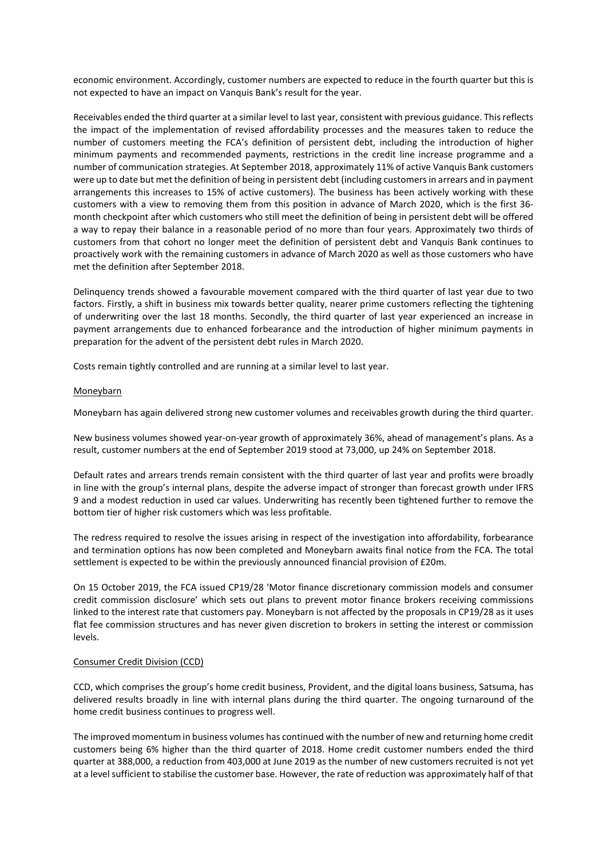economic environment. Accordingly, customer numbers are expected to reduce in the fourth quarter but this is not expected to have an impact on Vanquis Bank's result for the year.

Receivables ended the third quarter at a similar level to last year, consistent with previous guidance. Thisreflects the impact of the implementation of revised affordability processes and the measures taken to reduce the number of customers meeting the FCA's definition of persistent debt, including the introduction of higher minimum payments and recommended payments, restrictions in the credit line increase programme and a number of communication strategies. At September 2018, approximately 11% of active Vanquis Bank customers were up to date but met the definition of being in persistent debt (including customersin arrears and in payment arrangements this increases to 15% of active customers). The business has been actively working with these customers with a view to removing them from this position in advance of March 2020, which is the first 36 month checkpoint after which customers who still meet the definition of being in persistent debt will be offered a way to repay their balance in a reasonable period of no more than four years. Approximately two thirds of customers from that cohort no longer meet the definition of persistent debt and Vanquis Bank continues to proactively work with the remaining customers in advance of March 2020 as well as those customers who have met the definition after September 2018.

Delinquency trends showed a favourable movement compared with the third quarter of last year due to two factors. Firstly, a shift in business mix towards better quality, nearer prime customers reflecting the tightening of underwriting over the last 18 months. Secondly, the third quarter of last year experienced an increase in payment arrangements due to enhanced forbearance and the introduction of higher minimum payments in preparation for the advent of the persistent debt rules in March 2020.

Costs remain tightly controlled and are running at a similar level to last year.

#### **Moneybarn**

Moneybarn has again delivered strong new customer volumes and receivables growth during the third quarter.

New business volumes showed year-on-year growth of approximately 36%, ahead of management's plans. As a result, customer numbers at the end of September 2019 stood at 73,000, up 24% on September 2018.

Default rates and arrears trends remain consistent with the third quarter of last year and profits were broadly in line with the group's internal plans, despite the adverse impact of stronger than forecast growth under IFRS 9 and a modest reduction in used car values. Underwriting has recently been tightened further to remove the bottom tier of higher risk customers which was less profitable.

The redress required to resolve the issues arising in respect of the investigation into affordability, forbearance and termination options has now been completed and Moneybarn awaits final notice from the FCA. The total settlement is expected to be within the previously announced financial provision of £20m.

On 15 October 2019, the FCA issued CP19/28 'Motor finance discretionary commission models and consumer credit commission disclosure' which sets out plans to prevent motor finance brokers receiving commissions linked to the interest rate that customers pay. Moneybarn is not affected by the proposals in CP19/28 as it uses flat fee commission structures and has never given discretion to brokers in setting the interest or commission levels.

### Consumer Credit Division (CCD)

CCD, which comprises the group's home credit business, Provident, and the digital loans business, Satsuma, has delivered results broadly in line with internal plans during the third quarter. The ongoing turnaround of the home credit business continues to progress well.

The improved momentum in business volumes has continued with the number of new and returning home credit customers being 6% higher than the third quarter of 2018. Home credit customer numbers ended the third quarter at 388,000, a reduction from 403,000 at June 2019 as the number of new customers recruited is not yet at a level sufficient to stabilise the customer base. However, the rate of reduction was approximately half of that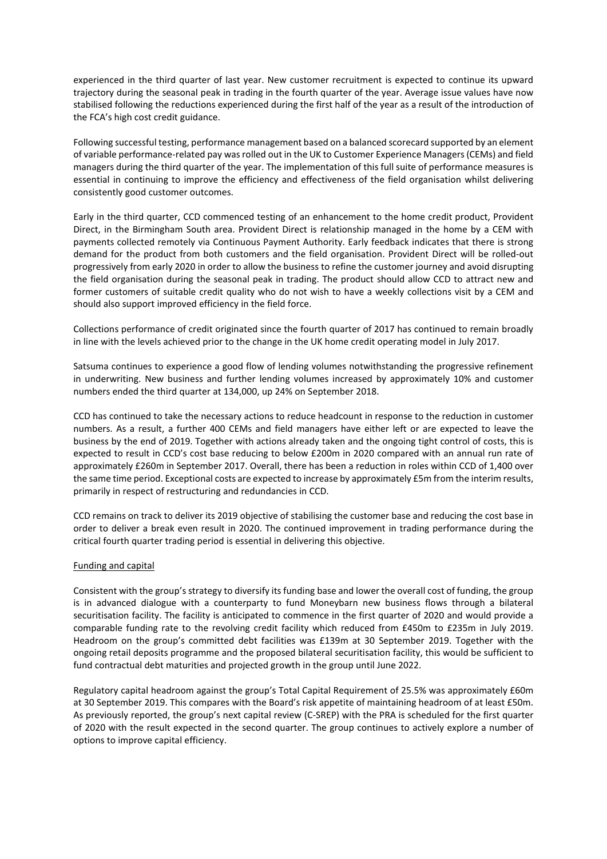experienced in the third quarter of last year. New customer recruitment is expected to continue its upward trajectory during the seasonal peak in trading in the fourth quarter of the year. Average issue values have now stabilised following the reductions experienced during the first half of the year as a result of the introduction of the FCA's high cost credit guidance.

Following successful testing, performance management based on a balanced scorecard supported by an element of variable performance-related pay wasrolled out in the UK to Customer Experience Managers(CEMs) and field managers during the third quarter of the year. The implementation of this full suite of performance measures is essential in continuing to improve the efficiency and effectiveness of the field organisation whilst delivering consistently good customer outcomes.

Early in the third quarter, CCD commenced testing of an enhancement to the home credit product, Provident Direct, in the Birmingham South area. Provident Direct is relationship managed in the home by a CEM with payments collected remotely via Continuous Payment Authority. Early feedback indicates that there is strong demand for the product from both customers and the field organisation. Provident Direct will be rolled-out progressively from early 2020 in order to allow the business to refine the customer journey and avoid disrupting the field organisation during the seasonal peak in trading. The product should allow CCD to attract new and former customers of suitable credit quality who do not wish to have a weekly collections visit by a CEM and should also support improved efficiency in the field force.

Collections performance of credit originated since the fourth quarter of 2017 has continued to remain broadly in line with the levels achieved prior to the change in the UK home credit operating model in July 2017.

Satsuma continues to experience a good flow of lending volumes notwithstanding the progressive refinement in underwriting. New business and further lending volumes increased by approximately 10% and customer numbers ended the third quarter at 134,000, up 24% on September 2018.

CCD has continued to take the necessary actions to reduce headcount in response to the reduction in customer numbers. As a result, a further 400 CEMs and field managers have either left or are expected to leave the business by the end of 2019. Together with actions already taken and the ongoing tight control of costs, this is expected to result in CCD's cost base reducing to below £200m in 2020 compared with an annual run rate of approximately £260m in September 2017. Overall, there has been a reduction in roles within CCD of 1,400 over the same time period. Exceptional costs are expected to increase by approximately £5m from the interim results, primarily in respect of restructuring and redundancies in CCD.

CCD remains on track to deliver its 2019 objective of stabilising the customer base and reducing the cost base in order to deliver a break even result in 2020. The continued improvement in trading performance during the critical fourth quarter trading period is essential in delivering this objective.

#### Funding and capital

Consistent with the group's strategy to diversify its funding base and lower the overall cost of funding, the group is in advanced dialogue with a counterparty to fund Moneybarn new business flows through a bilateral securitisation facility. The facility is anticipated to commence in the first quarter of 2020 and would provide a comparable funding rate to the revolving credit facility which reduced from £450m to £235m in July 2019. Headroom on the group's committed debt facilities was £139m at 30 September 2019. Together with the ongoing retail deposits programme and the proposed bilateral securitisation facility, this would be sufficient to fund contractual debt maturities and projected growth in the group until June 2022.

Regulatory capital headroom against the group's Total Capital Requirement of 25.5% was approximately £60m at 30 September 2019. This compares with the Board's risk appetite of maintaining headroom of at least £50m. As previously reported, the group's next capital review (C-SREP) with the PRA is scheduled for the first quarter of 2020 with the result expected in the second quarter. The group continues to actively explore a number of options to improve capital efficiency.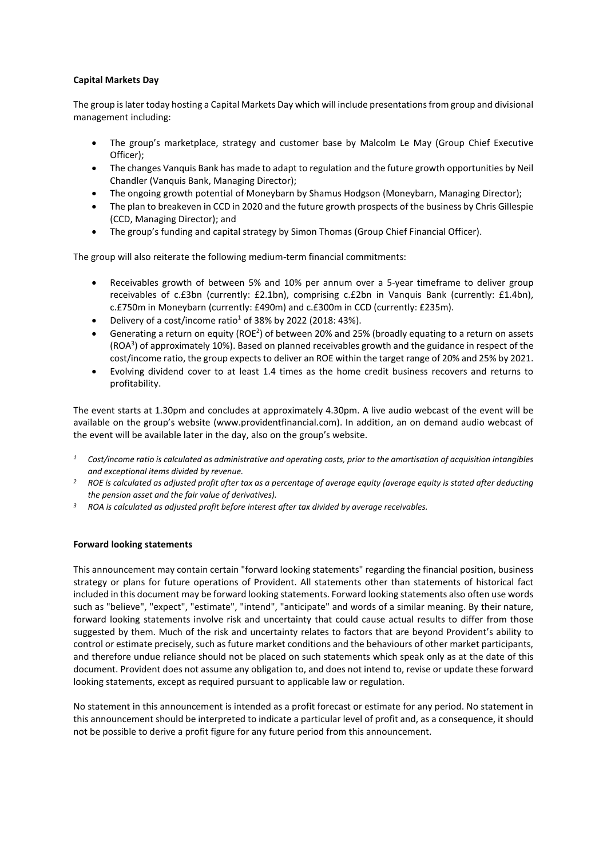## **Capital Markets Day**

The group islater today hosting a Capital Markets Day which will include presentationsfrom group and divisional management including:

- The group's marketplace, strategy and customer base by Malcolm Le May (Group Chief Executive Officer);
- The changes Vanquis Bank has made to adapt to regulation and the future growth opportunities by Neil Chandler (Vanquis Bank, Managing Director);
- The ongoing growth potential of Moneybarn by Shamus Hodgson (Moneybarn, Managing Director);
- The plan to breakeven in CCD in 2020 and the future growth prospects of the business by Chris Gillespie (CCD, Managing Director); and
- The group's funding and capital strategy by Simon Thomas (Group Chief Financial Officer).

The group will also reiterate the following medium-term financial commitments:

- Receivables growth of between 5% and 10% per annum over a 5-year timeframe to deliver group receivables of c.£3bn (currently: £2.1bn), comprising c.£2bn in Vanquis Bank (currently: £1.4bn), c.£750m in Moneybarn (currently: £490m) and c.£300m in CCD (currently: £235m).
- Delivery of a cost/income ratio<sup>1</sup> of 38% by 2022 (2018: 43%).
- Generating a return on equity (ROE<sup>2</sup>) of between 20% and 25% (broadly equating to a return on assets (ROA<sup>3</sup> ) of approximately 10%). Based on planned receivables growth and the guidance in respect of the cost/income ratio, the group expectsto deliver an ROE within the target range of 20% and 25% by 2021.
- Evolving dividend cover to at least 1.4 times as the home credit business recovers and returns to profitability.

The event starts at 1.30pm and concludes at approximately 4.30pm. A live audio webcast of the event will be available on the group's website [\(www.providentfinancial.com\)](http://www.providentfinancial.com/). In addition, an on demand audio webcast of the event will be available later in the day, also on the group's website.

- $1$  Cost/income ratio is calculated as administrative and operating costs, prior to the amortisation of acquisition intangibles *and exceptional items divided by revenue.*
- <sup>2</sup> ROE is calculated as adjusted profit after tax as a percentage of average equity (average equity is stated after deducting *the pension asset and the fair value of derivatives).*
- *<sup>3</sup> ROA is calculated as adjusted profit before interest after tax divided by average receivables.*

# **Forward looking statements**

This announcement may contain certain "forward looking statements" regarding the financial position, business strategy or plans for future operations of Provident. All statements other than statements of historical fact included in this document may be forward looking statements. Forward looking statements also often use words such as "believe", "expect", "estimate", "intend", "anticipate" and words of a similar meaning. By their nature, forward looking statements involve risk and uncertainty that could cause actual results to differ from those suggested by them. Much of the risk and uncertainty relates to factors that are beyond Provident's ability to control or estimate precisely, such as future market conditions and the behaviours of other market participants, and therefore undue reliance should not be placed on such statements which speak only as at the date of this document. Provident does not assume any obligation to, and does not intend to, revise or update these forward looking statements, except as required pursuant to applicable law or regulation.

No statement in this announcement is intended as a profit forecast or estimate for any period. No statement in this announcement should be interpreted to indicate a particular level of profit and, as a consequence, it should not be possible to derive a profit figure for any future period from this announcement.